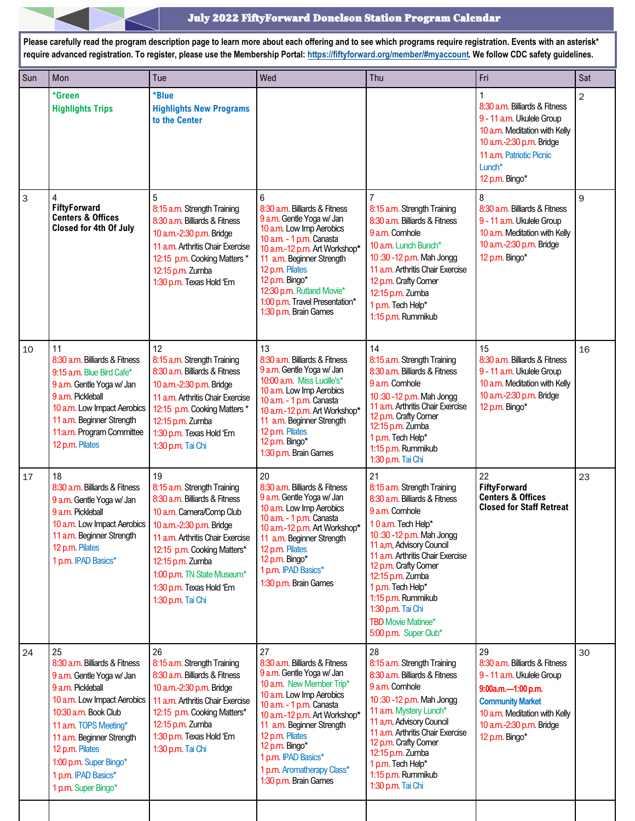#### July 2022 FiftyForward Donelson Station Program Calendar

**Please carefully read the program description page to learn more about each offering and to see which programs require registration. Events with an asterisk\* require advanced registration. To register, please use the Membership Portal: [https://fiftyforward.org/member/#myaccount.](https://fiftyforward.org/member/#myaccount) We follow CDC safety guidelines.**  Sun Mon Tue Wed Thu Fri Sat **\*Green Highlights Trips \*Blue Highlights New Programs to the Center**  1 8:30 a.m. Billiards & Fitness 9 - 11 a.m. Ukulele Group 10 a.m. Meditation with Kelly 10 a.m.-2:30 p.m. Bridge 11 a.m. Patriotic Picnic Lunch\* 12 p.m. Bingo\* 2 3 4 **FiftyForward Centers & Offices Closed for 4th Of July** 5 8:15 a.m. Strength Training 8:30 a.m. Billiards & Fitness 10 a.m.-2:30 p.m. Bridge 11 a.m. Arthritis Chair Exercise 12:15 p.m. Cooking Matters \* 12:15 p.m. Zumba 1:30 p.m. Texas Hold 'Em 6 8:30 a.m. Billiards & Fitness 9 a.m. Gentle Yoga w/ Jan 10 a.m. Low Imp Aerobics 10 a.m. - 1 p.m. Canasta 10 a.m.-12 p.m. Art Workshop**\*** 11 a.m. Beginner Strength 12 p.m. Pilates 12 p.m. Bingo\* 12:30 p.m. Rutland Movie\* 1:00 p.m. Travel Presentation\* 1:30 p.m. Brain Games 7 8:15 a.m. Strength Training 8:30 a.m. Billiards & Fitness 9 a.m. Cornhole 10 a.m. Lunch Bunch\* 10 :30 -12 p.m. Mah Jongg 11 a.m. Arthritis Chair Exercise 12 p.m. Crafty Corner 12:15 p.m. Zumba 1 p.m. Tech Help\* 1:15 p.m. Rummikub 8 8:30 a.m. Billiards & Fitness 9 - 11 a.m. Ukulele Group 10 a.m. Meditation with Kelly 10 a.m.-2:30 p.m. Bridge 12 p.m. Bingo\* 9 10 11 8:30 a.m. Billiards & Fitness 9:15 a.m. Blue Bird Cafe\* 9 a.m. Gentle Yoga w/ Jan 9 a.m. Pickleball 10 a.m. Low Impact Aerobics 11 a.m. Beginner Strength 11:a.m. Program Committee 12 p.m. Pilates 12 8:15 a.m. Strength Training 8:30 a.m. Billiards & Fitness 10 a.m.-2:30 p.m. Bridge 11 a.m. Arthritis Chair Exercise 12:15 p.m. Cooking Matters \* 12:15 p.m. Zumba 1:30 p.m. Texas Hold 'Em 1:30 p.m. Tai Chi 13 8:30 a.m. Billiards & Fitness 9 a.m. Gentle Yoga w/ Jan 10:00 a.m. Miss Lucille's\* 10 a.m. Low Imp Aerobics 10 a.m. - 1 p.m. Canasta 10 a.m.-12 p.m. Art Workshop**\*** 11 a.m. Beginner Strength 12 p.m. Pilates 12 p.m. Bingo\* 1:30 p.m. Brain Games 14 8:15 a.m. Strength Training 8:30 a.m. Billiards & Fitness 9 a.m. Cornhole 10 :30 -12 p.m. Mah Jongg 11 a.m. Arthritis Chair Exercise 12 p.m. Crafty Corner 12:15 p.m. Zumba 1 p.m. Tech Help\* 1:15 p.m. Rummikub 1:30 p.m. Tai Chi 15 8:30 a.m. Billiards & Fitness 9 - 11 a.m. Ukulele Group 10 a.m. Meditation with Kelly 10 a.m.-2:30 p.m. Bridge 12 p.m. Bingo\* 16 17 18 8:30 a.m. Billiards & Fitness 9 a.m. Gentle Yoga w/ Jan 9 a.m. Pickleball 10 a.m. Low Impact Aerobics 11 a.m. Beginner Strength 12 p.m. Pilates 1 p.m. IPAD Basics\* 19 8:15 a.m. Strength Training 8:30 a.m. Billiards & Fitness 10 a.m. Camera/Comp Club 10 a.m.-2:30 p.m. Bridge 11 a.m. Arthritis Chair Exercise 12:15 p.m. Cooking Matters\* 12:15 p.m. Zumba 1:00 p.m. TN State Museum\* 1:30 p.m. Texas Hold 'Em 1:30 p.m. Tai Chi 20 8:30 a.m. Billiards & Fitness 9 a.m. Gentle Yoga w/ Jan 10 a.m. Low Imp Aerobics 10 a.m. - 1 p.m. Canasta 10 a.m.-12 p.m. Art Workshop**\*** 11 a.m. Beginner Strength 12 p.m. Pilates 12 p.m. Bingo\* 1 p.m. IPAD Basics\* 1:30 p.m. Brain Games 21 8:15 a.m. Strength Training 8:30 a.m. Billiards & Fitness 9 a.m. Cornhole 1 0 a.m. Tech Help\* 10 :30 -12 p.m. Mah Jongg 11 a,m, Advisory Council 11 a.m. Arthritis Chair Exercise 12 p.m. Crafty Corner 12:15 p.m. Zumba 1 p.m. Tech Help\* 1:15 p.m. Rummikub 1:30 p.m. Tai Chi TBD Movie Matinee\* 5:00 p.m. Super Club\* 22 **FiftyForward Centers & Offices Closed for Staff Retreat** 23 24 25 8:30 a.m. Billiards & Fitness 9 a.m. Gentle Yoga w/ Jan 9 a.m. Pickleball 10 a.m. Low Impact Aerobics 10:30 a.m. Book Club 11 a.m. TOPS Meeting\* 11 a.m. Beginner Strength 12 p.m. Pilates 1:00 p.m. Super Bingo\* 1 p.m. IPAD Basics\* 1 p.m. Super Bingo\* 26 8:15 a.m. Strength Training 8:30 a.m. Billiards & Fitness 10 a.m.-2:30 p.m. Bridge 11 a.m. Arthritis Chair Exercise 12:15 p.m. Cooking Matters\* 12:15 p.m. Zumba 1:30 p.m. Texas Hold 'Em 1:30 p.m. Tai Chi 27 8:30 a.m. Billiards & Fitness 9 a.m. Gentle Yoga w/ Jan 10 a.m. New Member Trip\* 10 a.m. Low Imp Aerobics 10 a.m. - 1 p.m. Canasta 10 a.m.-12 p.m. Art Workshop**\*** 11 a.m. Beginner Strength 12 p.m. Pilates 12 p.m. Bingo\* 1 p.m. IPAD Basics\* 1 p.m. Aromatherapy Class\* 1:30 p.m. Brain Games 28 8:15 a.m. Strength Training 8:30 a.m. Billiards & Fitness 9 a.m. Cornhole 10 :30 -12 p.m. Mah Jongg 11 a.m. Mystery Lunch\* 11 a,m, Advisory Council 11 a.m. Arthritis Chair Exercise 12 p.m. Crafty Corner 12:15 p.m. Zumba 1 p.m. Tech Help\* 1:15 p.m. Rummikub 1:30 p.m. Tai Chi 29 8:30 a.m. Billiards & Fitness 9 - 11 a.m. Ukulele Group **9:00a.m.—1:00 p.m. Community Market** 10 a.m. Meditation with Kelly 10 a.m.-2:30 p.m. Bridge 12 p.m. Bingo\* 30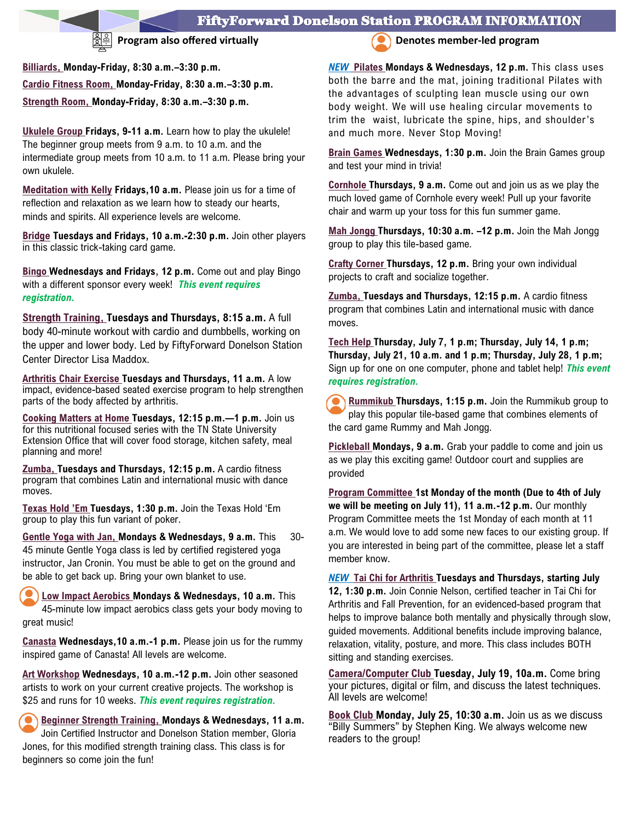## FiftyForward Donelson Station PROGRAM INFORMATION

**Billiards, Monday-Friday, 8:30 a.m.–3:30 p.m. Cardio Fitness Room, Monday-Friday, 8:30 a.m.–3:30 p.m.** 

**Strength Room, Monday-Friday, 8:30 a.m.–3:30 p.m.** 

**Ukulele Group Fridays, 9-11 a.m.** Learn how to play the ukulele! The beginner group meets from 9 a.m. to 10 a.m. and the intermediate group meets from 10 a.m. to 11 a.m. Please bring your own ukulele.

**Meditation with Kelly Fridays,10 a.m.** Please join us for a time of reflection and relaxation as we learn how to steady our hearts, minds and spirits. All experience levels are welcome.

**Bridge Tuesdays and Fridays, 10 a.m.-2:30 p.m.** Join other players in this classic trick-taking card game.

**Bingo Wednesdays and Fridays, 12 p.m.** Come out and play Bingo with a different sponsor every week! *This event requires registration.* 

**Strength Training, Tuesdays and Thursdays, 8:15 a.m.** A full body 40-minute workout with cardio and dumbbells, working on the upper and lower body. Led by FiftyForward Donelson Station Center Director Lisa Maddox.

**Arthritis Chair Exercise Tuesdays and Thursdays, 11 a.m.** A low impact, evidence-based seated exercise program to help strengthen parts of the body affected by arthritis.

**Cooking Matters at Home Tuesdays, 12:15 p.m.—1 p.m.** Join us for this nutritional focused series with the TN State University Extension Office that will cover food storage, kitchen safety, meal planning and more!

**Zumba, Tuesdays and Thursdays, 12:15 p.m.** A cardio fitness program that combines Latin and international music with dance moves.

**Texas Hold 'Em Tuesdays, 1:30 p.m.** Join the Texas Hold 'Em group to play this fun variant of poker.

**Gentle Yoga with Jan, Mondays & Wednesdays, 9 a.m.** This 30- 45 minute Gentle Yoga class is led by certified registered yoga instructor, Jan Cronin. You must be able to get on the ground and be able to get back up. Bring your own blanket to use.

**Low Impact Aerobics Mondays & Wednesdays, 10 a.m.** This 45-minute low impact aerobics class gets your body moving to great music!

**Canasta Wednesdays,10 a.m.-1 p.m.** Please join us for the rummy inspired game of Canasta! All levels are welcome.

**Art Workshop Wednesdays, 10 a.m.-12 p.m.** Join other seasoned artists to work on your current creative projects. The workshop is \$25 and runs for 10 weeks. *This event requires registration.*

**Beginner Strength Training, Mondays & Wednesdays, 11 a.m.**  Join Certified Instructor and Donelson Station member, Gloria Jones, for this modified strength training class. This class is for beginners so come join the fun!



**Program also offered virtually Denotes member-led program** 

*NEW* **Pilates Mondays & Wednesdays, 12 p.m.** This class uses both the barre and the mat, joining traditional Pilates with the advantages of sculpting lean muscle using our own body weight. We will use healing circular movements to trim the waist, lubricate the spine, hips, and shoulder's and much more. Never Stop Moving!

**Brain Games Wednesdays, 1:30 p.m.** Join the Brain Games group and test your mind in trivia!

**Cornhole Thursdays, 9 a.m.** Come out and join us as we play the much loved game of Cornhole every week! Pull up your favorite chair and warm up your toss for this fun summer game.

**Mah Jongg Thursdays, 10:30 a.m. –12 p.m.** Join the Mah Jongg group to play this tile-based game.

**Crafty Corner Thursdays, 12 p.m.** Bring your own individual projects to craft and socialize together.

**Zumba, Tuesdays and Thursdays, 12:15 p.m.** A cardio fitness program that combines Latin and international music with dance moves.

**Tech Help Thursday, July 7, 1 p.m; Thursday, July 14, 1 p.m; Thursday, July 21, 10 a.m. and 1 p.m; Thursday, July 28, 1 p.m;**  Sign up for one on one computer, phone and tablet help! *This event requires registration.* 

**Rummikub Thursdays, 1:15 p.m.** Join the Rummikub group to play this popular tile-based game that combines elements of the card game Rummy and Mah Jongg.

**Pickleball Mondays, 9 a.m.** Grab your paddle to come and join us as we play this exciting game! Outdoor court and supplies are provided

**Program Committee 1st Monday of the month (Due to 4th of July we will be meeting on July 11), 11 a.m.-12 p.m.** Our monthly Program Committee meets the 1st Monday of each month at 11 a.m. We would love to add some new faces to our existing group. If you are interested in being part of the committee, please let a staff member know.

*NEW* **Tai Chi for Arthritis Tuesdays and Thursdays, starting July 12, 1:30 p.m.** Join Connie Nelson, certified teacher in Tai Chi for Arthritis and Fall Prevention, for an evidenced-based program that helps to improve balance both mentally and physically through slow, guided movements. Additional benefits include improving balance, relaxation, vitality, posture, and more. This class includes BOTH sitting and standing exercises.

**Camera/Computer Club Tuesday, July 19, 10a.m.** Come bring your pictures, digital or film, and discuss the latest techniques. All levels are welcome!

**Book Club Monday, July 25, 10:30 a.m.** Join us as we discuss "Billy Summers" by Stephen King. We always welcome new readers to the group!